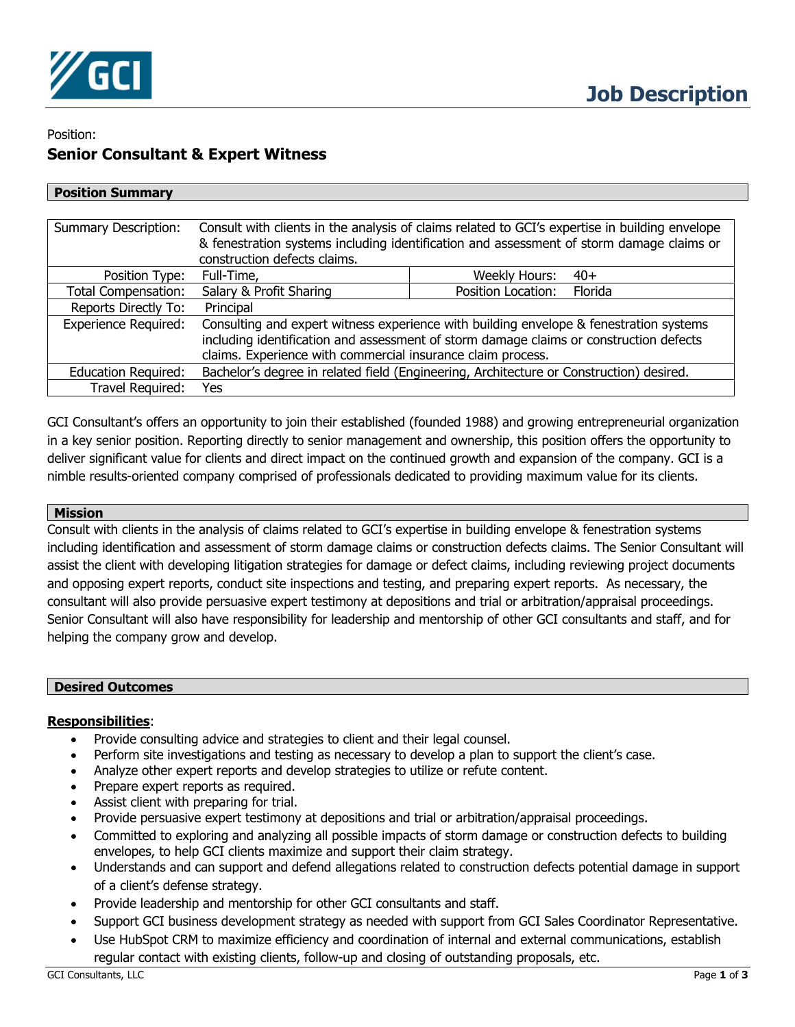

# Position: **Senior Consultant & Expert Witness**

| <b>Position Summary</b>     |                                                                                                                                                                                                                                                 |                               |
|-----------------------------|-------------------------------------------------------------------------------------------------------------------------------------------------------------------------------------------------------------------------------------------------|-------------------------------|
|                             |                                                                                                                                                                                                                                                 |                               |
| <b>Summary Description:</b> | Consult with clients in the analysis of claims related to GCI's expertise in building envelope<br>& fenestration systems including identification and assessment of storm damage claims or<br>construction defects claims.                      |                               |
| Position Type:              | Full-Time,                                                                                                                                                                                                                                      | Weekly Hours:<br>$40+$        |
| <b>Total Compensation:</b>  | Salary & Profit Sharing                                                                                                                                                                                                                         | Florida<br>Position Location: |
| Reports Directly To:        | Principal                                                                                                                                                                                                                                       |                               |
| <b>Experience Required:</b> | Consulting and expert witness experience with building envelope & fenestration systems<br>including identification and assessment of storm damage claims or construction defects<br>claims. Experience with commercial insurance claim process. |                               |
| <b>Education Required:</b>  | Bachelor's degree in related field (Engineering, Architecture or Construction) desired.                                                                                                                                                         |                               |
| Travel Required:            | Yes                                                                                                                                                                                                                                             |                               |

GCI Consultant's offers an opportunity to join their established (founded 1988) and growing entrepreneurial organization in a key senior position. Reporting directly to senior management and ownership, this position offers the opportunity to deliver significant value for clients and direct impact on the continued growth and expansion of the company. GCI is a nimble results-oriented company comprised of professionals dedicated to providing maximum value for its clients.

## **Mission**

Consult with clients in the analysis of claims related to GCI's expertise in building envelope & fenestration systems including identification and assessment of storm damage claims or construction defects claims. The Senior Consultant will assist the client with developing litigation strategies for damage or defect claims, including reviewing project documents and opposing expert reports, conduct site inspections and testing, and preparing expert reports. As necessary, the consultant will also provide persuasive expert testimony at depositions and trial or arbitration/appraisal proceedings. Senior Consultant will also have responsibility for leadership and mentorship of other GCI consultants and staff, and for helping the company grow and develop.

### **Desired Outcomes**

## **Responsibilities**:

- Provide consulting advice and strategies to client and their legal counsel.
- Perform site investigations and testing as necessary to develop a plan to support the client's case.
- Analyze other expert reports and develop strategies to utilize or refute content.
- Prepare expert reports as required.
- Assist client with preparing for trial.
- Provide persuasive expert testimony at depositions and trial or arbitration/appraisal proceedings.
- Committed to exploring and analyzing all possible impacts of storm damage or construction defects to building envelopes, to help GCI clients maximize and support their claim strategy.
- Understands and can support and defend allegations related to construction defects potential damage in support of a client's defense strategy.
- Provide leadership and mentorship for other GCI consultants and staff.
- Support GCI business development strategy as needed with support from GCI Sales Coordinator Representative.
- Use HubSpot CRM to maximize efficiency and coordination of internal and external communications, establish regular contact with existing clients, follow-up and closing of outstanding proposals, etc.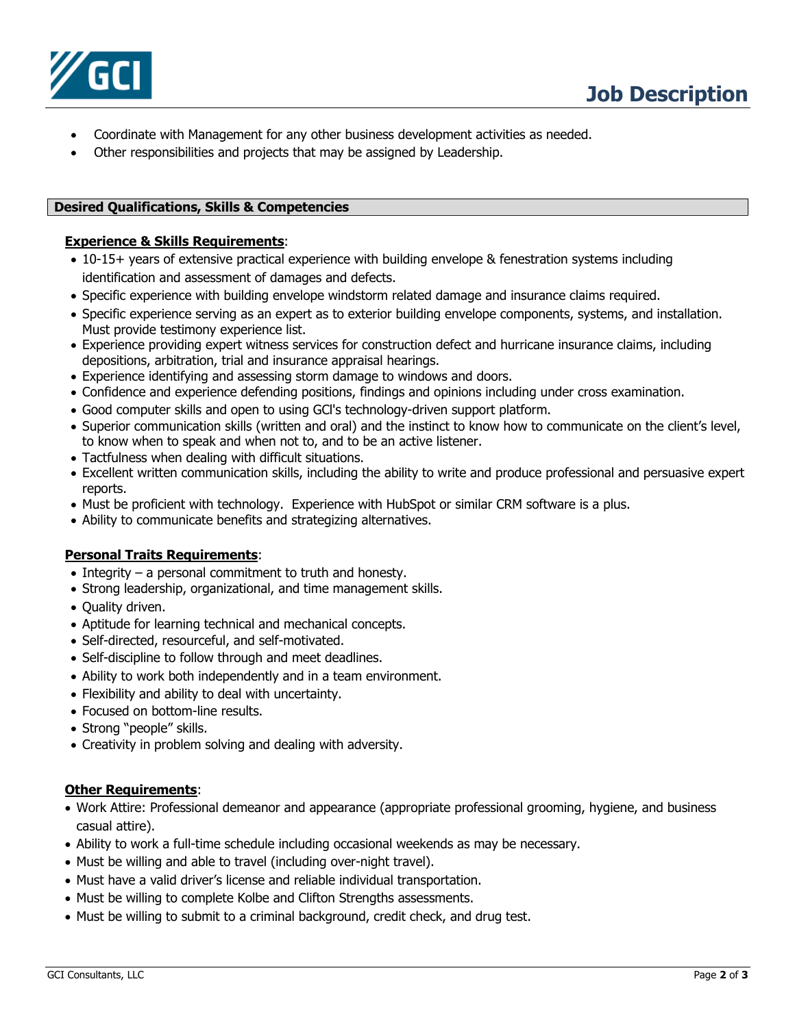

- Coordinate with Management for any other business development activities as needed.
- Other responsibilities and projects that may be assigned by Leadership.

## **Desired Qualifications, Skills & Competencies**

## **Experience & Skills Requirements**:

- 10-15+ years of extensive practical experience with building envelope & fenestration systems including identification and assessment of damages and defects.
- Specific experience with building envelope windstorm related damage and insurance claims required.
- Specific experience serving as an expert as to exterior building envelope components, systems, and installation. Must provide testimony experience list.
- Experience providing expert witness services for construction defect and hurricane insurance claims, including depositions, arbitration, trial and insurance appraisal hearings.
- Experience identifying and assessing storm damage to windows and doors.
- Confidence and experience defending positions, findings and opinions including under cross examination.
- Good computer skills and open to using GCl's technology-driven support platform.
- Superior communication skills (written and oral) and the instinct to know how to communicate on the client's level, to know when to speak and when not to, and to be an active listener.
- Tactfulness when dealing with difficult situations.
- Excellent written communication skills, including the ability to write and produce professional and persuasive expert reports.
- Must be proficient with technology. Experience with HubSpot or similar CRM software is a plus.
- Ability to communicate benefits and strategizing alternatives.

## **Personal Traits Requirements**:

- Integrity a personal commitment to truth and honesty.
- Strong leadership, organizational, and time management skills.
- Quality driven.
- Aptitude for learning technical and mechanical concepts.
- Self-directed, resourceful, and self-motivated.
- Self-discipline to follow through and meet deadlines.
- Ability to work both independently and in a team environment.
- Flexibility and ability to deal with uncertainty.
- Focused on bottom-line results.
- Strong "people" skills.
- Creativity in problem solving and dealing with adversity.

### **Other Requirements**:

- Work Attire: Professional demeanor and appearance (appropriate professional grooming, hygiene, and business casual attire).
- Ability to work a full-time schedule including occasional weekends as may be necessary.
- Must be willing and able to travel (including over-night travel).
- Must have a valid driver's license and reliable individual transportation.
- Must be willing to complete Kolbe and Clifton Strengths assessments.
- Must be willing to submit to a criminal background, credit check, and drug test.